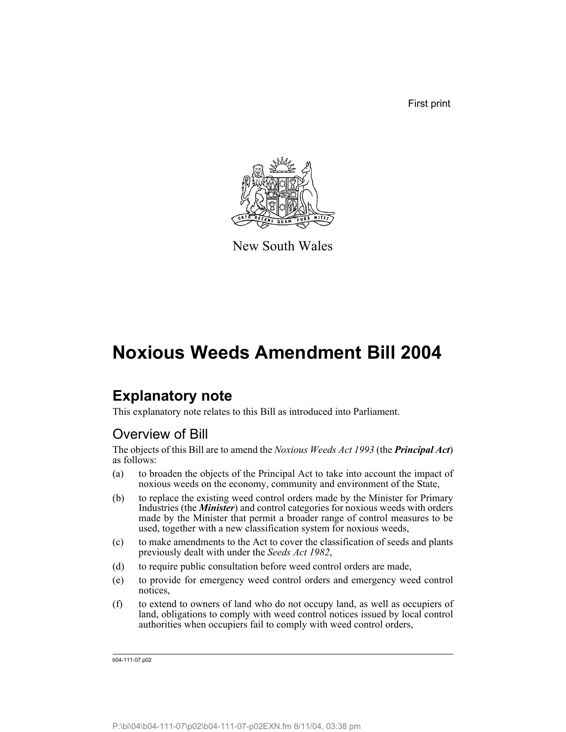First print



New South Wales

# **Noxious Weeds Amendment Bill 2004**

# **Explanatory note**

This explanatory note relates to this Bill as introduced into Parliament.

## Overview of Bill

The objects of this Bill are to amend the *Noxious Weeds Act 1993* (the *Principal Act*) as follows:

- (a) to broaden the objects of the Principal Act to take into account the impact of noxious weeds on the economy, community and environment of the State,
- (b) to replace the existing weed control orders made by the Minister for Primary Industries (the *Minister*) and control categories for noxious weeds with orders made by the Minister that permit a broader range of control measures to be used, together with a new classification system for noxious weeds,
- (c) to make amendments to the Act to cover the classification of seeds and plants previously dealt with under the *Seeds Act 1982*,
- (d) to require public consultation before weed control orders are made,
- (e) to provide for emergency weed control orders and emergency weed control notices,
- (f) to extend to owners of land who do not occupy land, as well as occupiers of land, obligations to comply with weed control notices issued by local control authorities when occupiers fail to comply with weed control orders,

b04-111-07.p02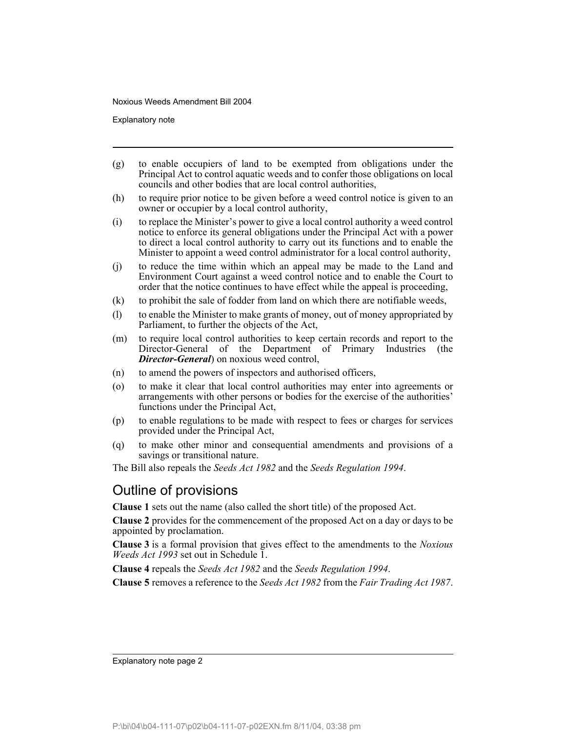Explanatory note

- (g) to enable occupiers of land to be exempted from obligations under the Principal Act to control aquatic weeds and to confer those obligations on local councils and other bodies that are local control authorities,
- (h) to require prior notice to be given before a weed control notice is given to an owner or occupier by a local control authority,
- (i) to replace the Minister's power to give a local control authority a weed control notice to enforce its general obligations under the Principal Act with a power to direct a local control authority to carry out its functions and to enable the Minister to appoint a weed control administrator for a local control authority,
- (j) to reduce the time within which an appeal may be made to the Land and Environment Court against a weed control notice and to enable the Court to order that the notice continues to have effect while the appeal is proceeding,
- (k) to prohibit the sale of fodder from land on which there are notifiable weeds,
- (l) to enable the Minister to make grants of money, out of money appropriated by Parliament, to further the objects of the Act,
- (m) to require local control authorities to keep certain records and report to the Director-General of the Department of Primary Industries (the *Director-General*) on noxious weed control,
- (n) to amend the powers of inspectors and authorised officers,
- (o) to make it clear that local control authorities may enter into agreements or arrangements with other persons or bodies for the exercise of the authorities' functions under the Principal Act,
- (p) to enable regulations to be made with respect to fees or charges for services provided under the Principal Act,
- (q) to make other minor and consequential amendments and provisions of a savings or transitional nature.

The Bill also repeals the *Seeds Act 1982* and the *Seeds Regulation 1994*.

### Outline of provisions

**Clause 1** sets out the name (also called the short title) of the proposed Act.

**Clause 2** provides for the commencement of the proposed Act on a day or days to be appointed by proclamation.

**Clause 3** is a formal provision that gives effect to the amendments to the *Noxious Weeds Act 1993* set out in Schedule 1.

**Clause 4** repeals the *Seeds Act 1982* and the *Seeds Regulation 1994*.

**Clause 5** removes a reference to the *Seeds Act 1982* from the *Fair Trading Act 1987*.

Explanatory note page 2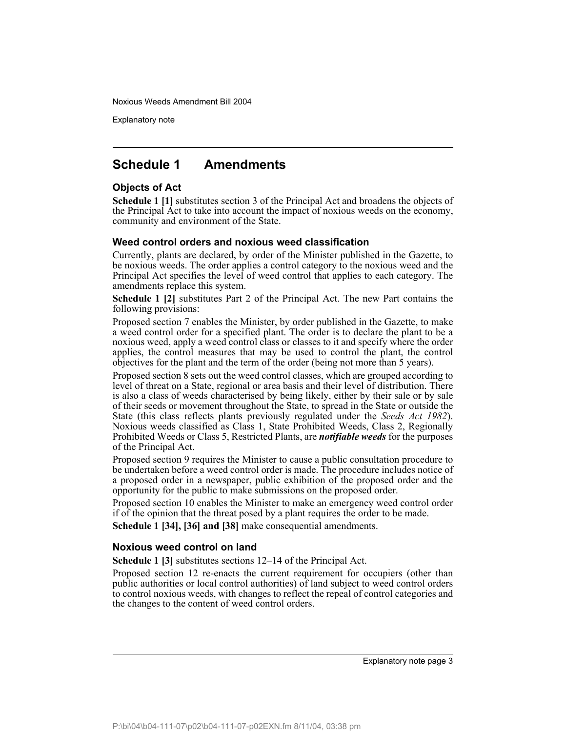Explanatory note

### **Schedule 1 Amendments**

### **Objects of Act**

**Schedule 1 [1]** substitutes section 3 of the Principal Act and broadens the objects of the Principal Act to take into account the impact of noxious weeds on the economy, community and environment of the State.

### **Weed control orders and noxious weed classification**

Currently, plants are declared, by order of the Minister published in the Gazette, to be noxious weeds. The order applies a control category to the noxious weed and the Principal Act specifies the level of weed control that applies to each category. The amendments replace this system.

**Schedule 1 [2]** substitutes Part 2 of the Principal Act. The new Part contains the following provisions:

Proposed section 7 enables the Minister, by order published in the Gazette, to make a weed control order for a specified plant. The order is to declare the plant to be a noxious weed, apply a weed control class or classes to it and specify where the order applies, the control measures that may be used to control the plant, the control objectives for the plant and the term of the order (being not more than 5 years).

Proposed section 8 sets out the weed control classes, which are grouped according to level of threat on a State, regional or area basis and their level of distribution. There is also a class of weeds characterised by being likely, either by their sale or by sale of their seeds or movement throughout the State, to spread in the State or outside the State (this class reflects plants previously regulated under the *Seeds Act 1982*). Noxious weeds classified as Class 1, State Prohibited Weeds, Class 2, Regionally Prohibited Weeds or Class 5, Restricted Plants, are *notifiable weeds* for the purposes of the Principal Act.

Proposed section 9 requires the Minister to cause a public consultation procedure to be undertaken before a weed control order is made. The procedure includes notice of a proposed order in a newspaper, public exhibition of the proposed order and the opportunity for the public to make submissions on the proposed order.

Proposed section 10 enables the Minister to make an emergency weed control order if of the opinion that the threat posed by a plant requires the order to be made.

**Schedule 1 [34], [36] and [38]** make consequential amendments.

### **Noxious weed control on land**

**Schedule 1 [3]** substitutes sections 12–14 of the Principal Act.

Proposed section 12 re-enacts the current requirement for occupiers (other than public authorities or local control authorities) of land subject to weed control orders to control noxious weeds, with changes to reflect the repeal of control categories and the changes to the content of weed control orders.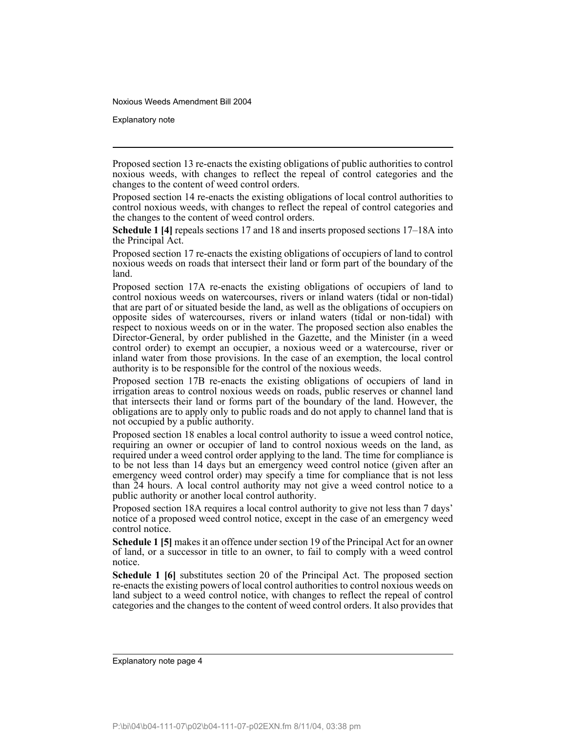Explanatory note

Proposed section 13 re-enacts the existing obligations of public authorities to control noxious weeds, with changes to reflect the repeal of control categories and the changes to the content of weed control orders.

Proposed section 14 re-enacts the existing obligations of local control authorities to control noxious weeds, with changes to reflect the repeal of control categories and the changes to the content of weed control orders.

**Schedule 1 [4]** repeals sections 17 and 18 and inserts proposed sections 17–18A into the Principal Act.

Proposed section 17 re-enacts the existing obligations of occupiers of land to control noxious weeds on roads that intersect their land or form part of the boundary of the land.

Proposed section 17A re-enacts the existing obligations of occupiers of land to control noxious weeds on watercourses, rivers or inland waters (tidal or non-tidal) that are part of or situated beside the land, as well as the obligations of occupiers on opposite sides of watercourses, rivers or inland waters (tidal or non-tidal) with respect to noxious weeds on or in the water. The proposed section also enables the Director-General, by order published in the Gazette, and the Minister (in a weed control order) to exempt an occupier, a noxious weed or a watercourse, river or inland water from those provisions. In the case of an exemption, the local control authority is to be responsible for the control of the noxious weeds.

Proposed section 17B re-enacts the existing obligations of occupiers of land in irrigation areas to control noxious weeds on roads, public reserves or channel land that intersects their land or forms part of the boundary of the land. However, the obligations are to apply only to public roads and do not apply to channel land that is not occupied by a public authority.

Proposed section 18 enables a local control authority to issue a weed control notice, requiring an owner or occupier of land to control noxious weeds on the land, as required under a weed control order applying to the land. The time for compliance is to be not less than 14 days but an emergency weed control notice (given after an emergency weed control order) may specify a time for compliance that is not less than 24 hours. A local control authority may not give a weed control notice to a public authority or another local control authority.

Proposed section 18A requires a local control authority to give not less than 7 days' notice of a proposed weed control notice, except in the case of an emergency weed control notice.

**Schedule 1 [5]** makes it an offence under section 19 of the Principal Act for an owner of land, or a successor in title to an owner, to fail to comply with a weed control notice.

**Schedule 1 [6]** substitutes section 20 of the Principal Act. The proposed section re-enacts the existing powers of local control authorities to control noxious weeds on land subject to a weed control notice, with changes to reflect the repeal of control categories and the changes to the content of weed control orders. It also provides that

Explanatory note page 4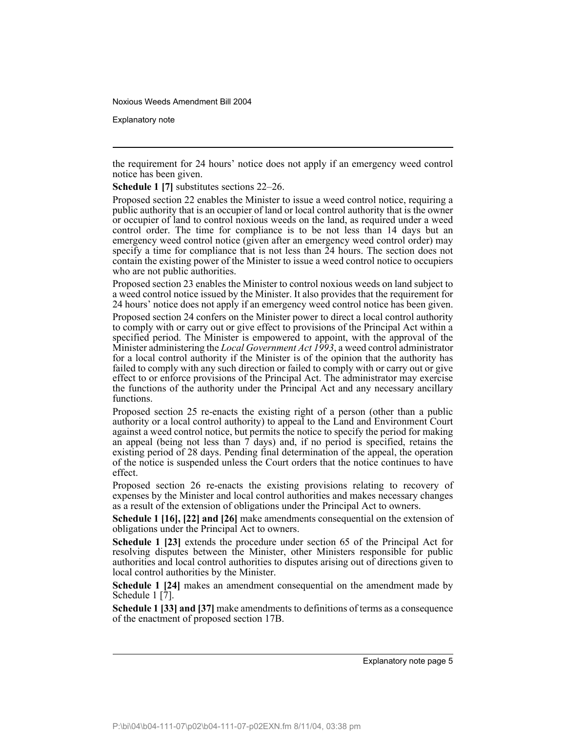Explanatory note

the requirement for 24 hours' notice does not apply if an emergency weed control notice has been given.

**Schedule 1 [7]** substitutes sections 22–26.

Proposed section 22 enables the Minister to issue a weed control notice, requiring a public authority that is an occupier of land or local control authority that is the owner or occupier of land to control noxious weeds on the land, as required under a weed control order. The time for compliance is to be not less than 14 days but an emergency weed control notice (given after an emergency weed control order) may specify a time for compliance that is not less than  $\overline{2}4$  hours. The section does not contain the existing power of the Minister to issue a weed control notice to occupiers who are not public authorities.

Proposed section 23 enables the Minister to control noxious weeds on land subject to a weed control notice issued by the Minister. It also provides that the requirement for 24 hours' notice does not apply if an emergency weed control notice has been given.

Proposed section 24 confers on the Minister power to direct a local control authority to comply with or carry out or give effect to provisions of the Principal Act within a specified period. The Minister is empowered to appoint, with the approval of the Minister administering the *Local Government Act 1993*, a weed control administrator for a local control authority if the Minister is of the opinion that the authority has failed to comply with any such direction or failed to comply with or carry out or give effect to or enforce provisions of the Principal Act. The administrator may exercise the functions of the authority under the Principal Act and any necessary ancillary functions.

Proposed section 25 re-enacts the existing right of a person (other than a public authority or a local control authority) to appeal to the Land and Environment Court against a weed control notice, but permits the notice to specify the period for making an appeal (being not less than 7 days) and, if no period is specified, retains the existing period of 28 days. Pending final determination of the appeal, the operation of the notice is suspended unless the Court orders that the notice continues to have effect.

Proposed section 26 re-enacts the existing provisions relating to recovery of expenses by the Minister and local control authorities and makes necessary changes as a result of the extension of obligations under the Principal Act to owners.

**Schedule 1 [16], [22] and [26]** make amendments consequential on the extension of obligations under the Principal Act to owners.

**Schedule 1 [23]** extends the procedure under section 65 of the Principal Act for resolving disputes between the Minister, other Ministers responsible for public authorities and local control authorities to disputes arising out of directions given to local control authorities by the Minister.

**Schedule 1 [24]** makes an amendment consequential on the amendment made by Schedule 1<sup>[7]</sup>.

**Schedule 1 [33] and [37]** make amendments to definitions of terms as a consequence of the enactment of proposed section 17B.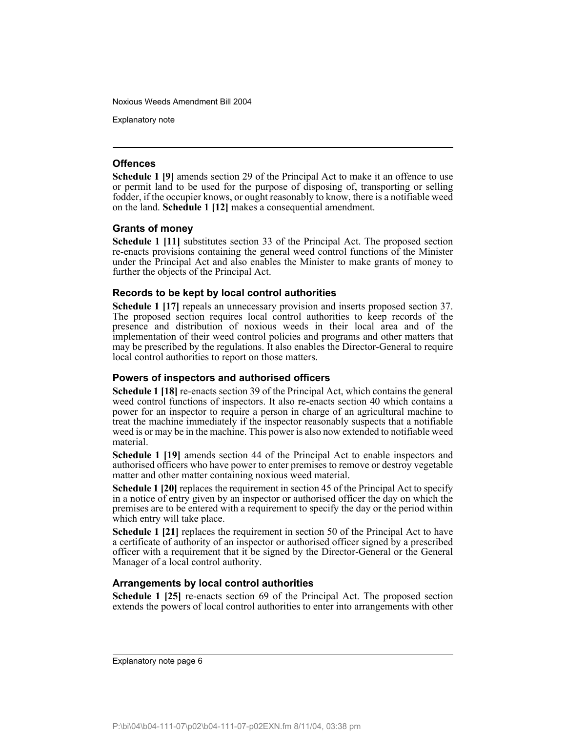Explanatory note

### **Offences**

**Schedule 1 [9]** amends section 29 of the Principal Act to make it an offence to use or permit land to be used for the purpose of disposing of, transporting or selling fodder, if the occupier knows, or ought reasonably to know, there is a notifiable weed on the land. **Schedule 1 [12]** makes a consequential amendment.

### **Grants of money**

**Schedule 1 [11]** substitutes section 33 of the Principal Act. The proposed section re-enacts provisions containing the general weed control functions of the Minister under the Principal Act and also enables the Minister to make grants of money to further the objects of the Principal Act.

### **Records to be kept by local control authorities**

**Schedule 1 [17]** repeals an unnecessary provision and inserts proposed section 37. The proposed section requires local control authorities to keep records of the presence and distribution of noxious weeds in their local area and of the implementation of their weed control policies and programs and other matters that may be prescribed by the regulations. It also enables the Director-General to require local control authorities to report on those matters.

### **Powers of inspectors and authorised officers**

**Schedule 1 [18]** re-enacts section 39 of the Principal Act, which contains the general weed control functions of inspectors. It also re-enacts section 40 which contains a power for an inspector to require a person in charge of an agricultural machine to treat the machine immediately if the inspector reasonably suspects that a notifiable weed is or may be in the machine. This power is also now extended to notifiable weed material.

**Schedule 1 [19]** amends section 44 of the Principal Act to enable inspectors and authorised officers who have power to enter premises to remove or destroy vegetable matter and other matter containing noxious weed material.

**Schedule 1 [20]** replaces the requirement in section 45 of the Principal Act to specify in a notice of entry given by an inspector or authorised officer the day on which the premises are to be entered with a requirement to specify the day or the period within which entry will take place.

**Schedule 1 [21]** replaces the requirement in section 50 of the Principal Act to have a certificate of authority of an inspector or authorised officer signed by a prescribed officer with a requirement that it be signed by the Director-General or the General Manager of a local control authority.

### **Arrangements by local control authorities**

**Schedule 1 [25]** re-enacts section 69 of the Principal Act. The proposed section extends the powers of local control authorities to enter into arrangements with other

Explanatory note page 6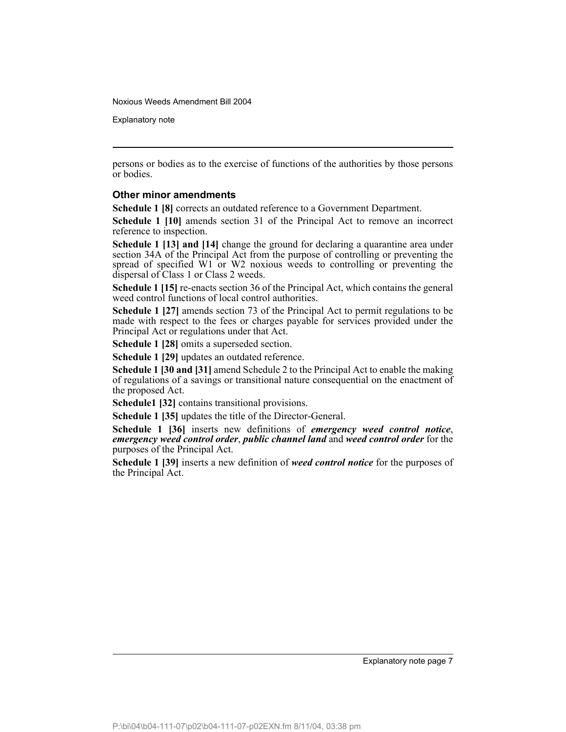Explanatory note

persons or bodies as to the exercise of functions of the authorities by those persons or bodies.

### **Other minor amendments**

**Schedule 1 [8]** corrects an outdated reference to a Government Department.

**Schedule 1 [10]** amends section 31 of the Principal Act to remove an incorrect reference to inspection.

**Schedule 1 [13] and [14]** change the ground for declaring a quarantine area under section 34A of the Principal Act from the purpose of controlling or preventing the spread of specified W1 or W2 noxious weeds to controlling or preventing the dispersal of Class 1 or Class 2 weeds.

**Schedule 1 [15]** re-enacts section 36 of the Principal Act, which contains the general weed control functions of local control authorities.

**Schedule 1 [27]** amends section 73 of the Principal Act to permit regulations to be made with respect to the fees or charges payable for services provided under the Principal Act or regulations under that Act.

**Schedule 1 [28]** omits a superseded section.

**Schedule 1 [29]** updates an outdated reference.

**Schedule 1 [30 and [31]** amend Schedule 2 to the Principal Act to enable the making of regulations of a savings or transitional nature consequential on the enactment of the proposed Act.

**Schedule1 [32]** contains transitional provisions.

**Schedule 1 [35]** updates the title of the Director-General.

**Schedule 1 [36]** inserts new definitions of *emergency weed control notice*, *emergency weed control order*, *public channel land* and *weed control order* for the purposes of the Principal Act.

**Schedule 1 [39]** inserts a new definition of *weed control notice* for the purposes of the Principal Act.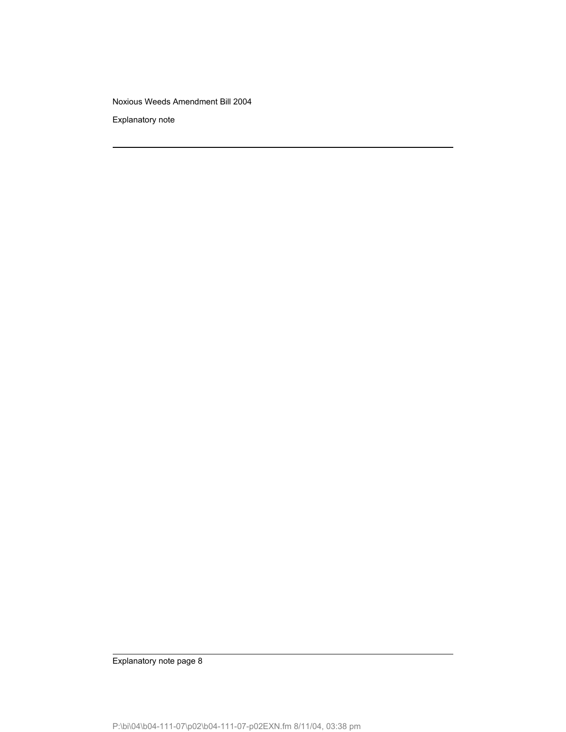Explanatory note

Explanatory note page 8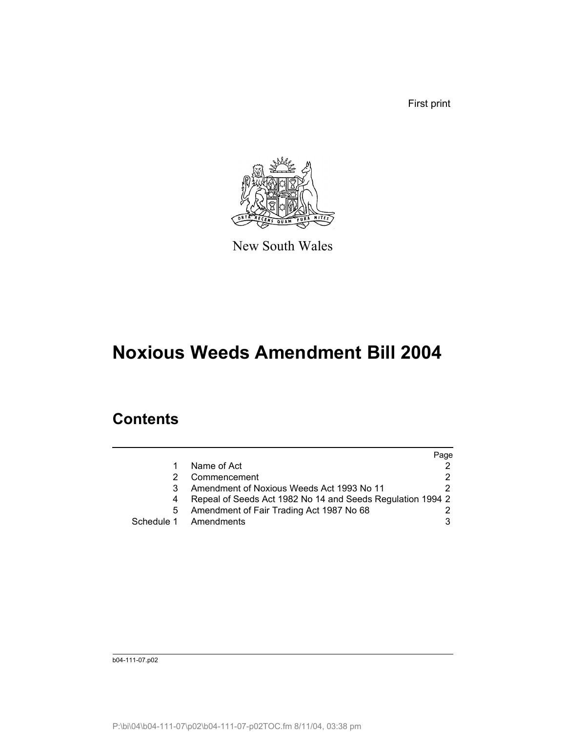First print



New South Wales

# **Noxious Weeds Amendment Bill 2004**

# **Contents**

|   |                                                            | Page |
|---|------------------------------------------------------------|------|
|   | Name of Act                                                |      |
|   | Commencement                                               |      |
|   | Amendment of Noxious Weeds Act 1993 No 11                  |      |
|   | Repeal of Seeds Act 1982 No 14 and Seeds Regulation 1994 2 |      |
| 5 | Amendment of Fair Trading Act 1987 No 68                   |      |
|   | Schedule 1 Amendments                                      |      |
|   |                                                            |      |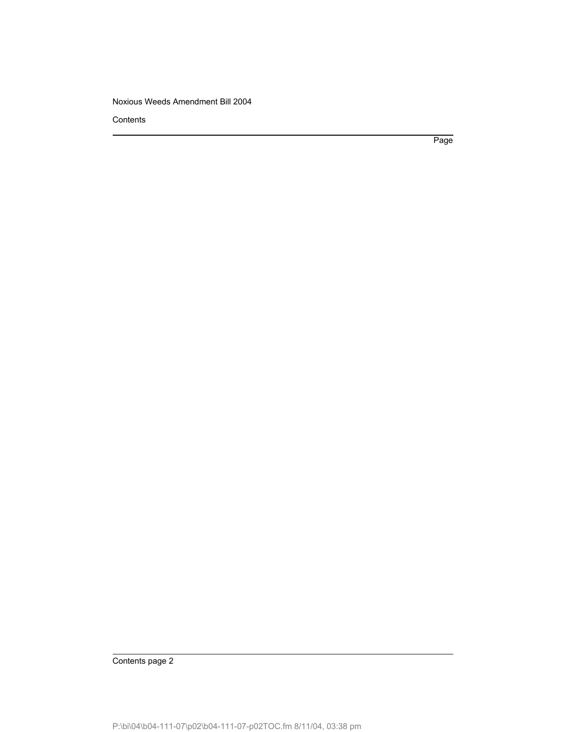**Contents** 

Page

Contents page 2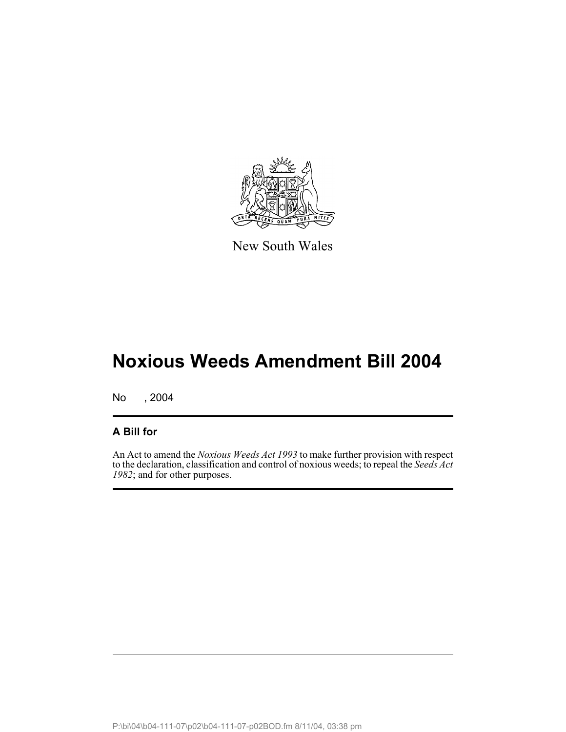

New South Wales

No , 2004

### **A Bill for**

An Act to amend the *Noxious Weeds Act 1993* to make further provision with respect to the declaration, classification and control of noxious weeds; to repeal the *Seeds Act 1982*; and for other purposes.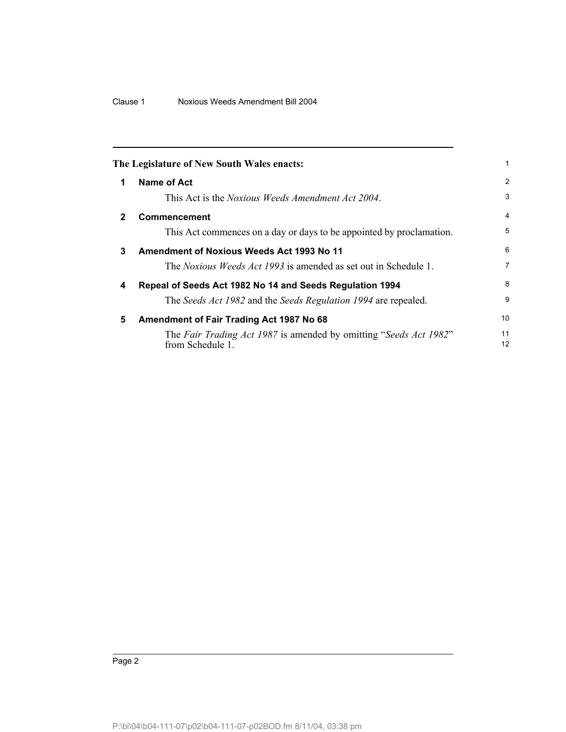|              | The Legislature of New South Wales enacts:                                            | 1              |
|--------------|---------------------------------------------------------------------------------------|----------------|
| 1            | Name of Act                                                                           | $\overline{2}$ |
|              | This Act is the <i>Noxious Weeds Amendment Act 2004</i> .                             | 3              |
| $\mathbf{2}$ | <b>Commencement</b>                                                                   | $\overline{4}$ |
|              | This Act commences on a day or days to be appointed by proclamation.                  | 5              |
| 3            | Amendment of Noxious Weeds Act 1993 No 11                                             | 6              |
|              | The Noxious Weeds Act 1993 is amended as set out in Schedule 1.                       | 7              |
| 4            | Repeal of Seeds Act 1982 No 14 and Seeds Regulation 1994                              | 8              |
|              | The Seeds Act 1982 and the Seeds Regulation 1994 are repealed.                        | 9              |
| 5            | Amendment of Fair Trading Act 1987 No 68                                              | 10             |
|              | The Fair Trading Act 1987 is amended by omitting "Seeds Act 1982"<br>from Schedule 1. | 11<br>12       |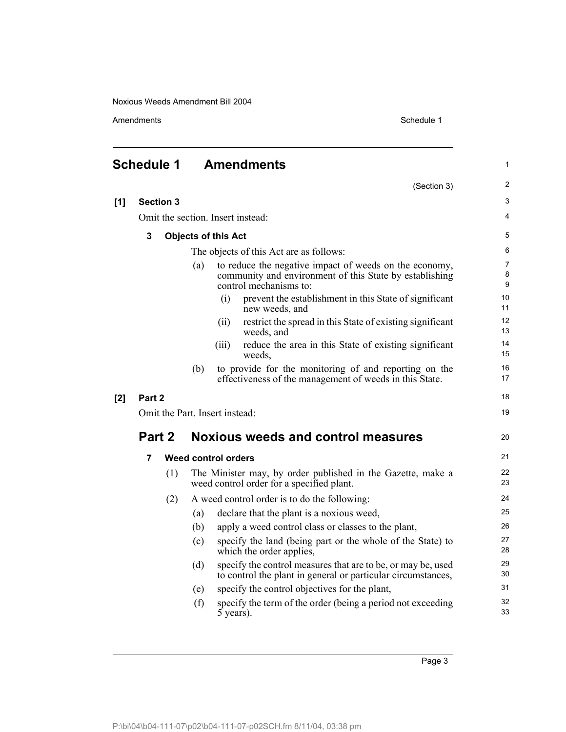|     | <b>Schedule 1</b> |                  |     | <b>Amendments</b>                                                                                                                           | 1           |
|-----|-------------------|------------------|-----|---------------------------------------------------------------------------------------------------------------------------------------------|-------------|
|     |                   |                  |     | (Section 3)                                                                                                                                 | 2           |
| [1] |                   | <b>Section 3</b> |     |                                                                                                                                             | 3           |
|     |                   |                  |     | Omit the section. Insert instead:                                                                                                           | 4           |
|     | 3                 |                  |     | <b>Objects of this Act</b>                                                                                                                  | 5           |
|     |                   |                  |     | The objects of this Act are as follows:                                                                                                     | 6           |
|     |                   |                  | (a) | to reduce the negative impact of weeds on the economy,<br>community and environment of this State by establishing<br>control mechanisms to: | 7<br>8<br>9 |
|     |                   |                  |     | (i)<br>prevent the establishment in this State of significant<br>new weeds, and                                                             | 10<br>11    |
|     |                   |                  |     | restrict the spread in this State of existing significant<br>(ii)<br>weeds, and                                                             | 12<br>13    |
|     |                   |                  |     | reduce the area in this State of existing significant<br>(iii)<br>weeds.                                                                    | 14<br>15    |
|     |                   |                  | (b) | to provide for the monitoring of and reporting on the<br>effectiveness of the management of weeds in this State.                            | 16<br>17    |
| [2] | Part 2            |                  |     |                                                                                                                                             | 18          |
|     |                   |                  |     | Omit the Part. Insert instead:                                                                                                              | 19          |
|     | Part 2            |                  |     | <b>Noxious weeds and control measures</b>                                                                                                   | 20          |
|     | 7                 |                  |     | <b>Weed control orders</b>                                                                                                                  | 21          |
|     |                   | (1)              |     | The Minister may, by order published in the Gazette, make a<br>weed control order for a specified plant.                                    | 22<br>23    |
|     |                   | (2)              |     | A weed control order is to do the following:                                                                                                | 24          |
|     |                   |                  | (a) | declare that the plant is a noxious weed,                                                                                                   | 25          |
|     |                   |                  | (b) | apply a weed control class or classes to the plant,                                                                                         | 26          |
|     |                   |                  | (c) | specify the land (being part or the whole of the State) to<br>which the order applies,                                                      | 27<br>28    |
|     |                   |                  | (d) | specify the control measures that are to be, or may be, used<br>to control the plant in general or particular circumstances,                | 29<br>30    |
|     |                   |                  | (e) | specify the control objectives for the plant,                                                                                               | 31          |
|     |                   |                  | (f) | specify the term of the order (being a period not exceeding<br>5 years).                                                                    | 32<br>33    |
|     |                   |                  |     |                                                                                                                                             |             |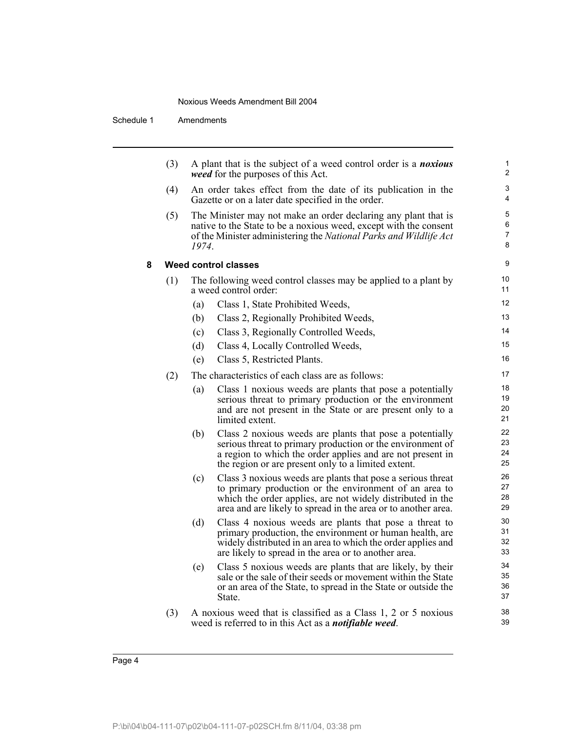|   | (3) | A plant that is the subject of a weed control order is a <i>noxious</i><br>weed for the purposes of this Act.                                                                                                                                               | 1<br>$\overline{2}$           |
|---|-----|-------------------------------------------------------------------------------------------------------------------------------------------------------------------------------------------------------------------------------------------------------------|-------------------------------|
|   | (4) | An order takes effect from the date of its publication in the<br>Gazette or on a later date specified in the order.                                                                                                                                         | 3<br>4                        |
|   | (5) | The Minister may not make an order declaring any plant that is<br>native to the State to be a noxious weed, except with the consent<br>of the Minister administering the National Parks and Wildlife Act<br>1974.                                           | 5<br>6<br>$\overline{7}$<br>8 |
| 8 |     | Weed control classes                                                                                                                                                                                                                                        | 9                             |
|   | (1) | The following weed control classes may be applied to a plant by<br>a weed control order:                                                                                                                                                                    | 10<br>11                      |
|   |     | Class 1, State Prohibited Weeds,<br>(a)                                                                                                                                                                                                                     | 12 <sup>°</sup>               |
|   |     | (b)<br>Class 2, Regionally Prohibited Weeds,                                                                                                                                                                                                                | 13                            |
|   |     | (c)<br>Class 3, Regionally Controlled Weeds,                                                                                                                                                                                                                | 14                            |
|   |     | (d)<br>Class 4, Locally Controlled Weeds,                                                                                                                                                                                                                   | 15                            |
|   |     | Class 5, Restricted Plants.<br>(e)                                                                                                                                                                                                                          | 16                            |
|   | (2) | The characteristics of each class are as follows:                                                                                                                                                                                                           | 17                            |
|   |     | Class 1 noxious weeds are plants that pose a potentially<br>(a)<br>serious threat to primary production or the environment<br>and are not present in the State or are present only to a<br>limited extent.                                                  | 18<br>19<br>20<br>21          |
|   |     | Class 2 noxious weeds are plants that pose a potentially<br>(b)<br>serious threat to primary production or the environment of<br>a region to which the order applies and are not present in<br>the region or are present only to a limited extent.          | 22<br>23<br>24<br>25          |
|   |     | Class 3 noxious weeds are plants that pose a serious threat<br>(c)<br>to primary production or the environment of an area to<br>which the order applies, are not widely distributed in the<br>area and are likely to spread in the area or to another area. | 26<br>27<br>28<br>29          |
|   |     | (d)<br>Class 4 noxious weeds are plants that pose a threat to<br>primary production, the environment or human health, are<br>widely distributed in an area to which the order applies and<br>are likely to spread in the area or to another area.           | 30<br>31<br>32<br>33          |
|   |     | Class 5 noxious weeds are plants that are likely, by their<br>(e)<br>sale or the sale of their seeds or movement within the State<br>or an area of the State, to spread in the State or outside the<br>State.                                               | 34<br>35<br>36<br>37          |
|   | (3) | A noxious weed that is classified as a Class 1, 2 or 5 noxious<br>weed is referred to in this Act as a <i>notifiable weed</i> .                                                                                                                             | 38<br>39                      |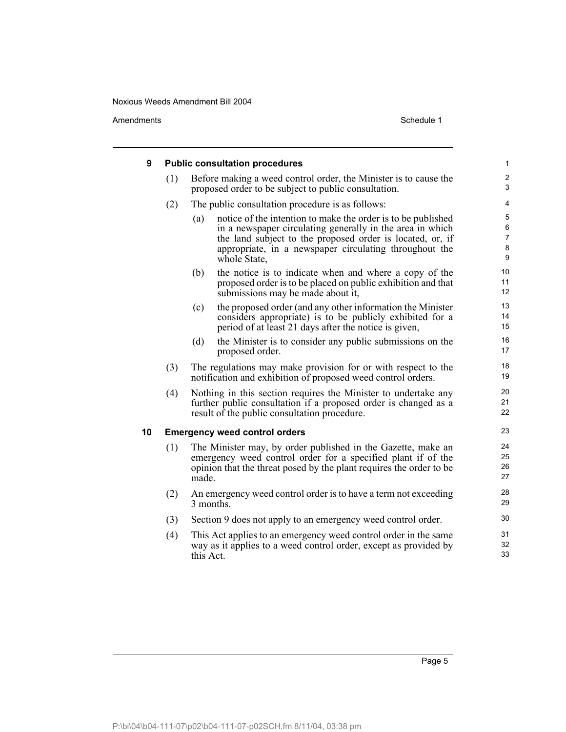| 9  |     | <b>Public consultation procedures</b>                                                                                                                                                                                                                                   | 1                                  |
|----|-----|-------------------------------------------------------------------------------------------------------------------------------------------------------------------------------------------------------------------------------------------------------------------------|------------------------------------|
|    | (1) | Before making a weed control order, the Minister is to cause the<br>proposed order to be subject to public consultation.                                                                                                                                                | $\overline{\mathbf{c}}$<br>3       |
|    | (2) | The public consultation procedure is as follows:                                                                                                                                                                                                                        | 4                                  |
|    |     | notice of the intention to make the order is to be published<br>(a)<br>in a newspaper circulating generally in the area in which<br>the land subject to the proposed order is located, or, if<br>appropriate, in a newspaper circulating throughout the<br>whole State, | 5<br>6<br>$\overline{7}$<br>8<br>9 |
|    |     | the notice is to indicate when and where a copy of the<br>(b)<br>proposed order is to be placed on public exhibition and that<br>submissions may be made about it,                                                                                                      | 10<br>11<br>12                     |
|    |     | the proposed order (and any other information the Minister<br>(c)<br>considers appropriate) is to be publicly exhibited for a<br>period of at least 21 days after the notice is given,                                                                                  | 13<br>14<br>15                     |
|    |     | (d)<br>the Minister is to consider any public submissions on the<br>proposed order.                                                                                                                                                                                     | 16<br>17                           |
|    | (3) | The regulations may make provision for or with respect to the<br>notification and exhibition of proposed weed control orders.                                                                                                                                           | 18<br>19                           |
|    | (4) | Nothing in this section requires the Minister to undertake any<br>further public consultation if a proposed order is changed as a<br>result of the public consultation procedure.                                                                                       | 20<br>21<br>22                     |
| 10 |     | <b>Emergency weed control orders</b>                                                                                                                                                                                                                                    | 23                                 |
|    | (1) | The Minister may, by order published in the Gazette, make an<br>emergency weed control order for a specified plant if of the<br>opinion that the threat posed by the plant requires the order to be<br>made.                                                            | 24<br>25<br>26<br>27               |
|    | (2) | An emergency weed control order is to have a term not exceeding<br>3 months.                                                                                                                                                                                            | 28<br>29                           |
|    | (3) | Section 9 does not apply to an emergency weed control order.                                                                                                                                                                                                            | 30                                 |
|    | (4) | This Act applies to an emergency weed control order in the same<br>way as it applies to a weed control order, except as provided by<br>this Act.                                                                                                                        | 31<br>32<br>33                     |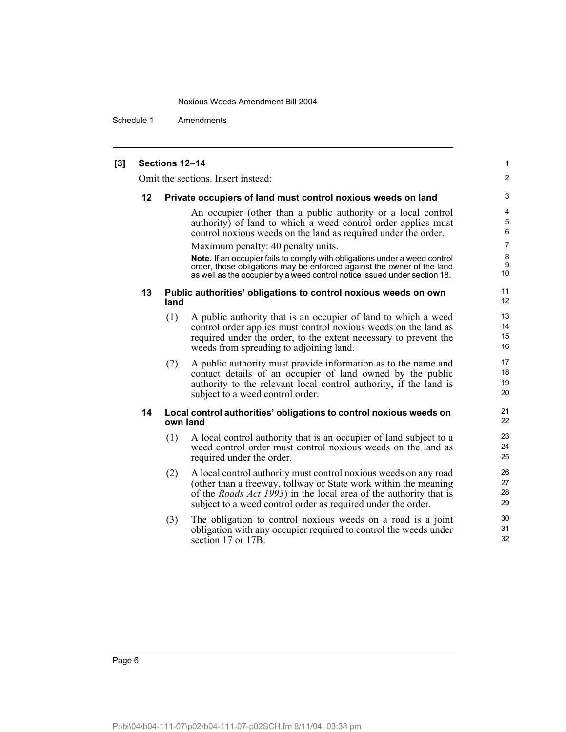| $[3]$ | Sections 12-14 |                                    |                                                                                                                                                                                                                                                                          |                                          |  |  |  |  |
|-------|----------------|------------------------------------|--------------------------------------------------------------------------------------------------------------------------------------------------------------------------------------------------------------------------------------------------------------------------|------------------------------------------|--|--|--|--|
|       |                | Omit the sections. Insert instead: |                                                                                                                                                                                                                                                                          |                                          |  |  |  |  |
|       | 12             |                                    | Private occupiers of land must control noxious weeds on land                                                                                                                                                                                                             | 3                                        |  |  |  |  |
|       |                |                                    | An occupier (other than a public authority or a local control<br>authority) of land to which a weed control order applies must<br>control noxious weeds on the land as required under the order.                                                                         | $\overline{4}$<br>$\mathbf 5$<br>$\,6\,$ |  |  |  |  |
|       |                |                                    | Maximum penalty: 40 penalty units.                                                                                                                                                                                                                                       | $\overline{7}$                           |  |  |  |  |
|       |                |                                    | Note. If an occupier fails to comply with obligations under a weed control<br>order, those obligations may be enforced against the owner of the land<br>as well as the occupier by a weed control notice issued under section 18.                                        | $\bf 8$<br>$\boldsymbol{9}$<br>10        |  |  |  |  |
|       | 13             | land                               | Public authorities' obligations to control noxious weeds on own                                                                                                                                                                                                          | 11<br>12                                 |  |  |  |  |
|       |                | (1)                                | A public authority that is an occupier of land to which a weed<br>control order applies must control noxious weeds on the land as<br>required under the order, to the extent necessary to prevent the<br>weeds from spreading to adjoining land.                         | 13<br>14<br>15<br>16                     |  |  |  |  |
|       |                | (2)                                | A public authority must provide information as to the name and<br>contact details of an occupier of land owned by the public<br>authority to the relevant local control authority, if the land is<br>subject to a weed control order.                                    | 17<br>18<br>19<br>20                     |  |  |  |  |
|       | 14             |                                    | Local control authorities' obligations to control noxious weeds on<br>own land                                                                                                                                                                                           | 21<br>22                                 |  |  |  |  |
|       |                | (1)                                | A local control authority that is an occupier of land subject to a<br>weed control order must control noxious weeds on the land as<br>required under the order.                                                                                                          | 23<br>24<br>25                           |  |  |  |  |
|       |                | (2)                                | A local control authority must control noxious weeds on any road<br>(other than a freeway, tollway or State work within the meaning<br>of the Roads Act 1993) in the local area of the authority that is<br>subject to a weed control order as required under the order. | 26<br>27<br>28<br>29                     |  |  |  |  |
|       |                | (3)                                | The obligation to control noxious weeds on a road is a joint<br>obligation with any occupier required to control the weeds under<br>section 17 or 17B.                                                                                                                   | 30<br>31<br>32                           |  |  |  |  |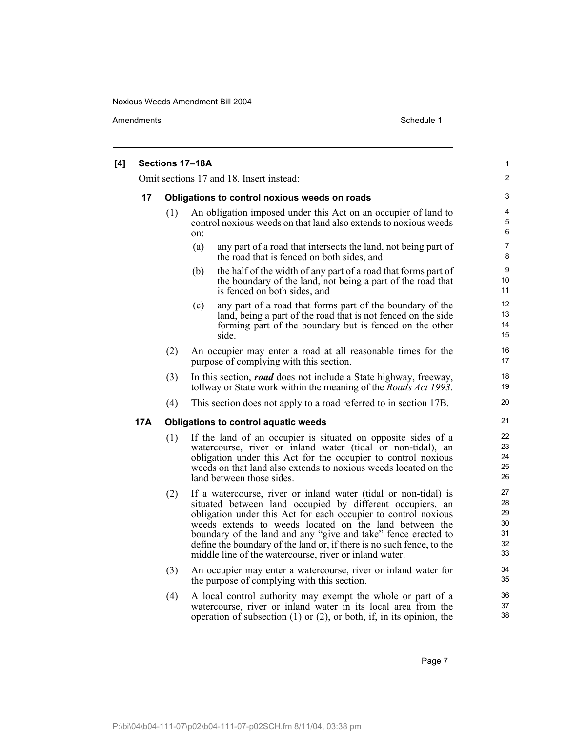|     | Amendments      |     |     | Schedule 1                                                                                                                                                                                                                                                                                                                                                                                                                                                   |
|-----|-----------------|-----|-----|--------------------------------------------------------------------------------------------------------------------------------------------------------------------------------------------------------------------------------------------------------------------------------------------------------------------------------------------------------------------------------------------------------------------------------------------------------------|
| [4] | Sections 17-18A |     |     |                                                                                                                                                                                                                                                                                                                                                                                                                                                              |
|     |                 |     |     | Omit sections 17 and 18. Insert instead:                                                                                                                                                                                                                                                                                                                                                                                                                     |
|     | 17              |     |     | Obligations to control noxious weeds on roads                                                                                                                                                                                                                                                                                                                                                                                                                |
|     |                 | (1) | on: | An obligation imposed under this Act on an occupier of land to<br>control noxious weeds on that land also extends to noxious weeds                                                                                                                                                                                                                                                                                                                           |
|     |                 |     | (a) | any part of a road that intersects the land, not being part of<br>the road that is fenced on both sides, and                                                                                                                                                                                                                                                                                                                                                 |
|     |                 |     | (b) | the half of the width of any part of a road that forms part of<br>the boundary of the land, not being a part of the road that<br>is fenced on both sides, and                                                                                                                                                                                                                                                                                                |
|     |                 |     | (c) | any part of a road that forms part of the boundary of the<br>land, being a part of the road that is not fenced on the side<br>forming part of the boundary but is fenced on the other<br>side.                                                                                                                                                                                                                                                               |
|     |                 | (2) |     | An occupier may enter a road at all reasonable times for the<br>purpose of complying with this section.                                                                                                                                                                                                                                                                                                                                                      |
|     |                 | (3) |     | In this section, <i>road</i> does not include a State highway, freeway,<br>tollway or State work within the meaning of the <i>Roads Act 1993</i> .                                                                                                                                                                                                                                                                                                           |
|     |                 | (4) |     | This section does not apply to a road referred to in section 17B.                                                                                                                                                                                                                                                                                                                                                                                            |
|     | 17A             |     |     | <b>Obligations to control aquatic weeds</b>                                                                                                                                                                                                                                                                                                                                                                                                                  |
|     |                 | (1) |     | If the land of an occupier is situated on opposite sides of a<br>watercourse, river or inland water (tidal or non-tidal), an<br>obligation under this Act for the occupier to control noxious<br>weeds on that land also extends to noxious weeds located on the<br>land between those sides.                                                                                                                                                                |
|     |                 | (2) |     | If a watercourse, river or inland water (tidal or non-tidal) is<br>situated between land occupied by different occupiers, an<br>obligation under this Act for each occupier to control noxious<br>weeds extends to weeds located on the land between the<br>boundary of the land and any "give and take" fence erected to<br>define the boundary of the land or, if there is no such fence, to the<br>middle line of the watercourse, river or inland water. |
|     |                 | (3) |     | An occupier may enter a watercourse, river or inland water for<br>the purpose of complying with this section.                                                                                                                                                                                                                                                                                                                                                |
|     |                 | (4) |     | A local control authority may exempt the whole or part of a<br>watercourse, river or inland water in its local area from the<br>operation of subsection $(1)$ or $(2)$ , or both, if, in its opinion, the                                                                                                                                                                                                                                                    |

Page 7

1 2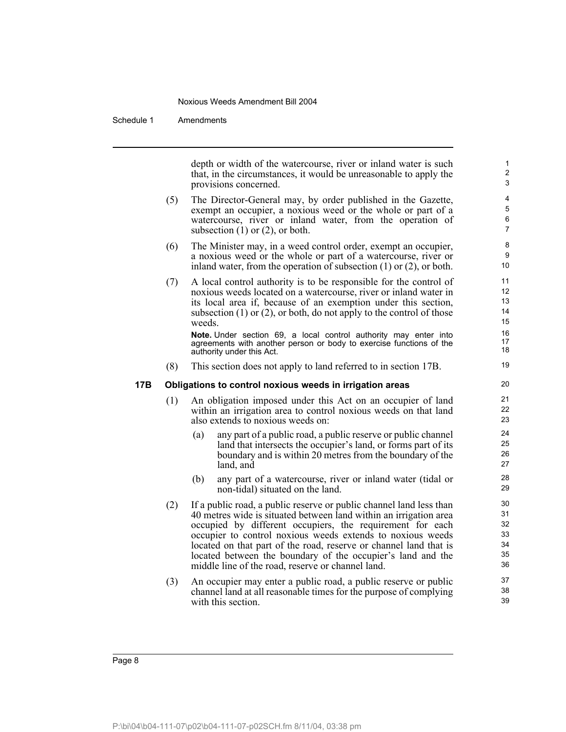Schedule 1 Amendments

depth or width of the watercourse, river or inland water is such that, in the circumstances, it would be unreasonable to apply the provisions concerned.

- (5) The Director-General may, by order published in the Gazette, exempt an occupier, a noxious weed or the whole or part of a watercourse, river or inland water, from the operation of subsection  $(1)$  or  $(2)$ , or both.
- (6) The Minister may, in a weed control order, exempt an occupier, a noxious weed or the whole or part of a watercourse, river or inland water, from the operation of subsection (1) or (2), or both.
- (7) A local control authority is to be responsible for the control of noxious weeds located on a watercourse, river or inland water in its local area if, because of an exemption under this section, subsection  $(1)$  or  $(2)$ , or both, do not apply to the control of those weeds.

**Note.** Under section 69, a local control authority may enter into agreements with another person or body to exercise functions of the authority under this Act.

(8) This section does not apply to land referred to in section 17B.

#### **17B Obligations to control noxious weeds in irrigation areas**

- (1) An obligation imposed under this Act on an occupier of land within an irrigation area to control noxious weeds on that land also extends to noxious weeds on:
	- (a) any part of a public road, a public reserve or public channel land that intersects the occupier's land, or forms part of its boundary and is within 20 metres from the boundary of the land, and
	- (b) any part of a watercourse, river or inland water (tidal or non-tidal) situated on the land.
- (2) If a public road, a public reserve or public channel land less than 40 metres wide is situated between land within an irrigation area occupied by different occupiers, the requirement for each occupier to control noxious weeds extends to noxious weeds located on that part of the road, reserve or channel land that is located between the boundary of the occupier's land and the middle line of the road, reserve or channel land.
- (3) An occupier may enter a public road, a public reserve or public channel land at all reasonable times for the purpose of complying with this section.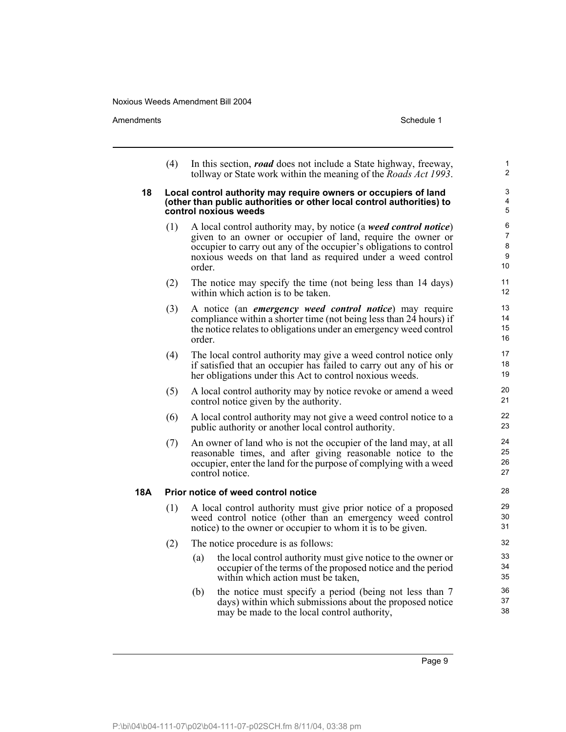|     | (4)                                                                                                                                                               | In this section, <i>road</i> does not include a State highway, freeway,<br>tollway or State work within the meaning of the <i>Roads Act 1993</i> .                                                                                                                             | 1<br>$\overline{2}$                 |
|-----|-------------------------------------------------------------------------------------------------------------------------------------------------------------------|--------------------------------------------------------------------------------------------------------------------------------------------------------------------------------------------------------------------------------------------------------------------------------|-------------------------------------|
| 18  | Local control authority may require owners or occupiers of land<br>(other than public authorities or other local control authorities) to<br>control noxious weeds | 3<br>4<br>5                                                                                                                                                                                                                                                                    |                                     |
|     | (1)                                                                                                                                                               | A local control authority may, by notice (a weed control notice)<br>given to an owner or occupier of land, require the owner or<br>occupier to carry out any of the occupier's obligations to control<br>noxious weeds on that land as required under a weed control<br>order. | 6<br>$\overline{7}$<br>8<br>9<br>10 |
|     | (2)                                                                                                                                                               | The notice may specify the time (not being less than 14 days)<br>within which action is to be taken.                                                                                                                                                                           | 11<br>12                            |
|     | (3)                                                                                                                                                               | A notice (an <i>emergency weed control notice</i> ) may require<br>compliance within a shorter time (not being less than 24 hours) if<br>the notice relates to obligations under an emergency weed control<br>order.                                                           | 13<br>14<br>15<br>16                |
|     | (4)                                                                                                                                                               | The local control authority may give a weed control notice only<br>if satisfied that an occupier has failed to carry out any of his or<br>her obligations under this Act to control noxious weeds.                                                                             | 17<br>18<br>19                      |
|     | (5)                                                                                                                                                               | A local control authority may by notice revoke or amend a weed<br>control notice given by the authority.                                                                                                                                                                       | 20<br>21                            |
|     | (6)                                                                                                                                                               | A local control authority may not give a weed control notice to a<br>public authority or another local control authority.                                                                                                                                                      | 22<br>23                            |
|     | (7)                                                                                                                                                               | An owner of land who is not the occupier of the land may, at all<br>reasonable times, and after giving reasonable notice to the<br>occupier, enter the land for the purpose of complying with a weed<br>control notice.                                                        | 24<br>25<br>26<br>27                |
| 18A |                                                                                                                                                                   | Prior notice of weed control notice                                                                                                                                                                                                                                            | 28                                  |
|     | (1)                                                                                                                                                               | A local control authority must give prior notice of a proposed<br>weed control notice (other than an emergency weed control<br>notice) to the owner or occupier to whom it is to be given.                                                                                     | 29<br>30<br>31                      |
|     | (2)                                                                                                                                                               | The notice procedure is as follows:                                                                                                                                                                                                                                            | 32                                  |
|     |                                                                                                                                                                   | the local control authority must give notice to the owner or<br>(a)<br>occupier of the terms of the proposed notice and the period<br>within which action must be taken,                                                                                                       | 33<br>34<br>35                      |
|     |                                                                                                                                                                   | the notice must specify a period (being not less than 7<br>(b)<br>days) within which submissions about the proposed notice<br>may be made to the local control authority,                                                                                                      | 36<br>37<br>38                      |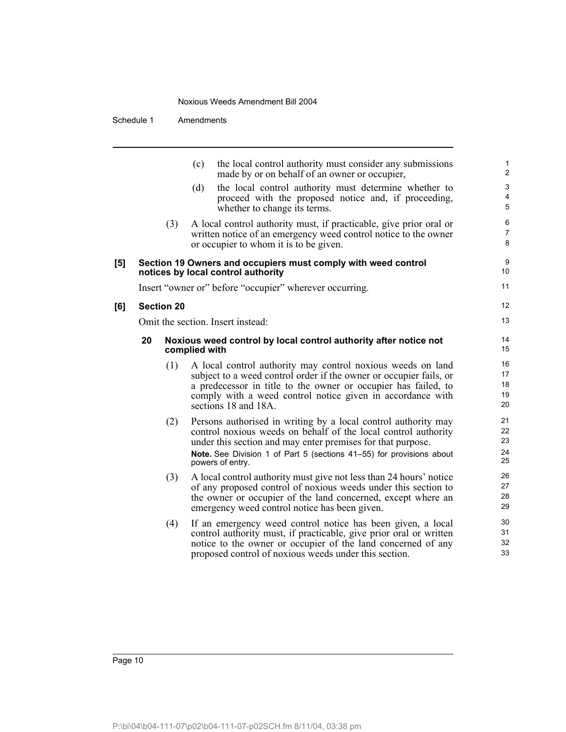Schedule 1 Amendments

|     |                   |     | (c)<br>the local control authority must consider any submissions<br>made by or on behalf of an owner or occupier,                                                                                                                                                                           | $\mathbf{1}$<br>$\overline{2}$               |
|-----|-------------------|-----|---------------------------------------------------------------------------------------------------------------------------------------------------------------------------------------------------------------------------------------------------------------------------------------------|----------------------------------------------|
|     |                   |     | (d)<br>the local control authority must determine whether to<br>proceed with the proposed notice and, if proceeding,<br>whether to change its terms.                                                                                                                                        | $\mathbf{3}$<br>$\overline{\mathbf{4}}$<br>5 |
|     |                   | (3) | A local control authority must, if practicable, give prior oral or<br>written notice of an emergency weed control notice to the owner<br>or occupier to whom it is to be given.                                                                                                             | $\,6$<br>$\overline{7}$<br>8                 |
| [5] |                   |     | Section 19 Owners and occupiers must comply with weed control<br>notices by local control authority                                                                                                                                                                                         | 9<br>10                                      |
|     |                   |     | Insert "owner or" before "occupier" wherever occurring.                                                                                                                                                                                                                                     | 11                                           |
| [6] | <b>Section 20</b> |     |                                                                                                                                                                                                                                                                                             | 12                                           |
|     |                   |     | Omit the section. Insert instead:                                                                                                                                                                                                                                                           | 13                                           |
|     | 20                |     | Noxious weed control by local control authority after notice not<br>complied with                                                                                                                                                                                                           | 14<br>15                                     |
|     |                   | (1) | A local control authority may control noxious weeds on land<br>subject to a weed control order if the owner or occupier fails, or<br>a predecessor in title to the owner or occupier has failed, to<br>comply with a weed control notice given in accordance with<br>sections 18 and 18A.   | 16<br>17<br>18<br>19<br>20                   |
|     |                   | (2) | Persons authorised in writing by a local control authority may<br>control noxious weeds on behalf of the local control authority<br>under this section and may enter premises for that purpose.<br>Note. See Division 1 of Part 5 (sections 41-55) for provisions about<br>powers of entry. | 21<br>22<br>23<br>24<br>25                   |
|     |                   | (3) | A local control authority must give not less than 24 hours' notice<br>of any proposed control of noxious weeds under this section to<br>the owner or occupier of the land concerned, except where an<br>emergency weed control notice has been given.                                       | 26<br>27<br>28<br>29                         |
|     |                   | (4) | If an emergency weed control notice has been given, a local<br>control authority must, if practicable, give prior oral or written<br>notice to the owner or occupier of the land concerned of any<br>proposed control of noxious weeds under this section.                                  | 30<br>31<br>32<br>33                         |

**[6] Section 20**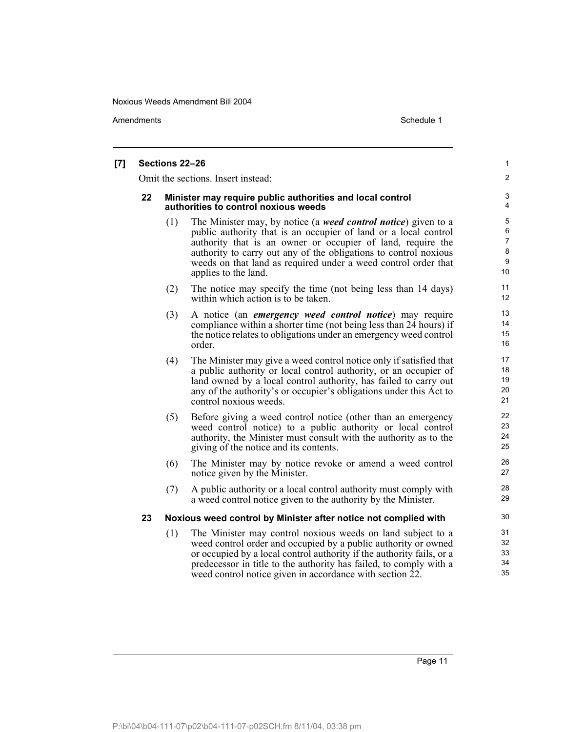| [7] |    | Sections 22-26 |                                                                                                                                                                                                                                                                                                                                                                        | 1                                                                   |
|-----|----|----------------|------------------------------------------------------------------------------------------------------------------------------------------------------------------------------------------------------------------------------------------------------------------------------------------------------------------------------------------------------------------------|---------------------------------------------------------------------|
|     |    |                | Omit the sections. Insert instead:                                                                                                                                                                                                                                                                                                                                     | 2                                                                   |
|     | 22 |                | Minister may require public authorities and local control<br>authorities to control noxious weeds                                                                                                                                                                                                                                                                      | $\mathsf 3$<br>4                                                    |
|     |    | (1)            | The Minister may, by notice (a <i>weed control notice</i> ) given to a<br>public authority that is an occupier of land or a local control<br>authority that is an owner or occupier of land, require the<br>authority to carry out any of the obligations to control noxious<br>weeds on that land as required under a weed control order that<br>applies to the land. | 5<br>$\,6\,$<br>$\overline{7}$<br>$\bf 8$<br>$\boldsymbol{9}$<br>10 |
|     |    | (2)            | The notice may specify the time (not being less than 14 days)<br>within which action is to be taken.                                                                                                                                                                                                                                                                   | 11<br>12                                                            |
|     |    | (3)            | A notice (an <i>emergency weed control notice</i> ) may require<br>compliance within a shorter time (not being less than 24 hours) if<br>the notice relates to obligations under an emergency weed control<br>order.                                                                                                                                                   | 13<br>14<br>15<br>16                                                |
|     |    | (4)            | The Minister may give a weed control notice only if satisfied that<br>a public authority or local control authority, or an occupier of<br>land owned by a local control authority, has failed to carry out<br>any of the authority's or occupier's obligations under this Act to<br>control noxious weeds.                                                             | 17<br>18<br>19<br>20<br>21                                          |
|     |    | (5)            | Before giving a weed control notice (other than an emergency<br>weed control notice) to a public authority or local control<br>authority, the Minister must consult with the authority as to the<br>giving of the notice and its contents.                                                                                                                             | 22<br>23<br>24<br>25                                                |
|     |    | (6)            | The Minister may by notice revoke or amend a weed control<br>notice given by the Minister.                                                                                                                                                                                                                                                                             | 26<br>27                                                            |
|     |    | (7)            | A public authority or a local control authority must comply with<br>a weed control notice given to the authority by the Minister.                                                                                                                                                                                                                                      | 28<br>29                                                            |
|     | 23 |                | Noxious weed control by Minister after notice not complied with                                                                                                                                                                                                                                                                                                        | 30                                                                  |
|     |    | (1)            | The Minister may control noxious weeds on land subject to a<br>weed control order and occupied by a public authority or owned<br>or occupied by a local control authority if the authority fails, or a<br>predecessor in title to the authority has failed, to comply with a<br>weed control notice given in accordance with section 22.                               | 31<br>32<br>33<br>34<br>35                                          |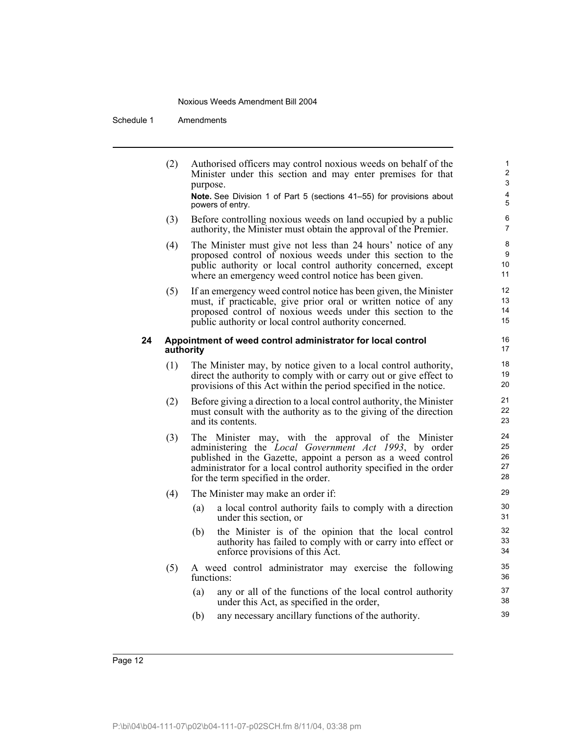Schedule 1 Amendments

|    | (2)       | purpose.   | Authorised officers may control noxious weeds on behalf of the<br>Minister under this section and may enter premises for that                                                                                                                                                                      | 1<br>$\overline{2}$<br>3          |
|----|-----------|------------|----------------------------------------------------------------------------------------------------------------------------------------------------------------------------------------------------------------------------------------------------------------------------------------------------|-----------------------------------|
|    |           |            | Note. See Division 1 of Part 5 (sections 41-55) for provisions about<br>powers of entry.                                                                                                                                                                                                           | 4<br>5                            |
|    | (3)       |            | Before controlling noxious weeds on land occupied by a public<br>authority, the Minister must obtain the approval of the Premier.                                                                                                                                                                  | 6<br>$\overline{7}$               |
|    | (4)       |            | The Minister must give not less than 24 hours' notice of any<br>proposed control of noxious weeds under this section to the<br>public authority or local control authority concerned, except<br>where an emergency weed control notice has been given.                                             | 8<br>9<br>10 <sup>1</sup><br>11   |
|    | (5)       |            | If an emergency weed control notice has been given, the Minister<br>must, if practicable, give prior oral or written notice of any<br>proposed control of noxious weeds under this section to the<br>public authority or local control authority concerned.                                        | 12 <sup>2</sup><br>13<br>14<br>15 |
| 24 | authority |            | Appointment of weed control administrator for local control                                                                                                                                                                                                                                        | 16<br>17                          |
|    | (1)       |            | The Minister may, by notice given to a local control authority,<br>direct the authority to comply with or carry out or give effect to<br>provisions of this Act within the period specified in the notice.                                                                                         | 18<br>19<br>20                    |
|    | (2)       |            | Before giving a direction to a local control authority, the Minister<br>must consult with the authority as to the giving of the direction<br>and its contents.                                                                                                                                     | 21<br>22<br>23                    |
|    | (3)       |            | The Minister may, with the approval of the Minister<br>administering the <i>Local Government Act 1993</i> , by order<br>published in the Gazette, appoint a person as a weed control<br>administrator for a local control authority specified in the order<br>for the term specified in the order. | 24<br>25<br>26<br>27<br>28        |
|    | (4)       |            | The Minister may make an order if:                                                                                                                                                                                                                                                                 | 29                                |
|    |           | (a)        | a local control authority fails to comply with a direction<br>under this section, or                                                                                                                                                                                                               | 30<br>31                          |
|    |           | (b)        | the Minister is of the opinion that the local control<br>authority has failed to comply with or carry into effect or<br>enforce provisions of this Act.                                                                                                                                            | 32<br>33<br>34                    |
|    | (5)       | functions: | A weed control administrator may exercise the following                                                                                                                                                                                                                                            | 35<br>36                          |
|    |           | (a)        | any or all of the functions of the local control authority<br>under this Act, as specified in the order,                                                                                                                                                                                           | 37<br>38                          |
|    |           | (b)        | any necessary ancillary functions of the authority.                                                                                                                                                                                                                                                | 39                                |
|    |           |            |                                                                                                                                                                                                                                                                                                    |                                   |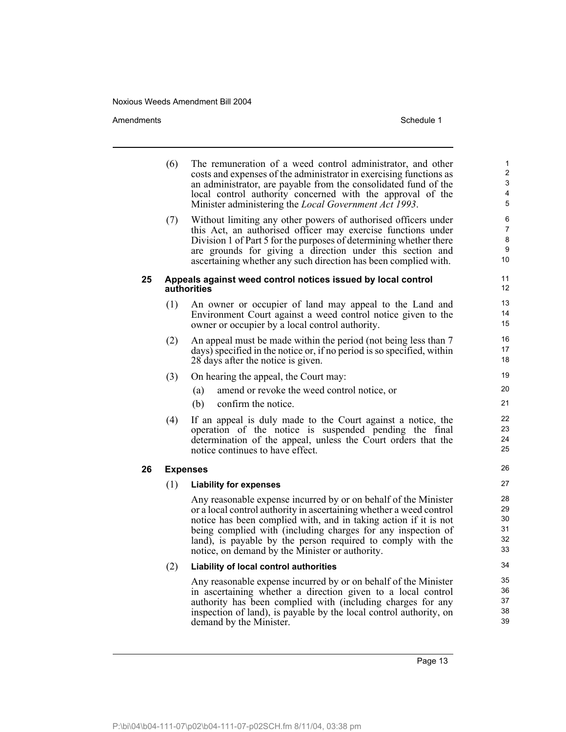|    | (6) | The remuneration of a weed control administrator, and other<br>costs and expenses of the administrator in exercising functions as<br>an administrator, are payable from the consolidated fund of the<br>local control authority concerned with the approval of the<br>Minister administering the Local Government Act 1993.                                                                  | $\mathbf{1}$<br>$\overline{c}$<br>3<br>4<br>5 |
|----|-----|----------------------------------------------------------------------------------------------------------------------------------------------------------------------------------------------------------------------------------------------------------------------------------------------------------------------------------------------------------------------------------------------|-----------------------------------------------|
|    | (7) | Without limiting any other powers of authorised officers under<br>this Act, an authorised officer may exercise functions under<br>Division 1 of Part 5 for the purposes of determining whether there<br>are grounds for giving a direction under this section and<br>ascertaining whether any such direction has been complied with.                                                         | 6<br>$\overline{7}$<br>8<br>9<br>10           |
| 25 |     | Appeals against weed control notices issued by local control<br>authorities                                                                                                                                                                                                                                                                                                                  | 11<br>12                                      |
|    | (1) | An owner or occupier of land may appeal to the Land and<br>Environment Court against a weed control notice given to the<br>owner or occupier by a local control authority.                                                                                                                                                                                                                   | 13<br>14<br>15                                |
|    | (2) | An appeal must be made within the period (not being less than 7<br>days) specified in the notice or, if no period is so specified, within<br>28 days after the notice is given.                                                                                                                                                                                                              | 16<br>17<br>18                                |
|    | (3) | On hearing the appeal, the Court may:                                                                                                                                                                                                                                                                                                                                                        | 19                                            |
|    |     | amend or revoke the weed control notice, or<br>(a)                                                                                                                                                                                                                                                                                                                                           | 20                                            |
|    |     | confirm the notice.<br>(b)                                                                                                                                                                                                                                                                                                                                                                   | 21                                            |
|    | (4) | If an appeal is duly made to the Court against a notice, the<br>operation of the notice is suspended pending the final<br>determination of the appeal, unless the Court orders that the<br>notice continues to have effect.                                                                                                                                                                  | 22<br>23<br>24<br>25                          |
| 26 |     | <b>Expenses</b>                                                                                                                                                                                                                                                                                                                                                                              | 26                                            |
|    | (1) | <b>Liability for expenses</b>                                                                                                                                                                                                                                                                                                                                                                | 27                                            |
|    |     | Any reasonable expense incurred by or on behalf of the Minister<br>or a local control authority in ascertaining whether a weed control<br>notice has been complied with, and in taking action if it is not<br>being complied with (including charges for any inspection of<br>land), is payable by the person required to comply with the<br>notice, on demand by the Minister or authority. | 28<br>29<br>30<br>31<br>32<br>33              |
|    | (2) | Liability of local control authorities                                                                                                                                                                                                                                                                                                                                                       | 34                                            |
|    |     | Any reasonable expense incurred by or on behalf of the Minister<br>in ascertaining whether a direction given to a local control<br>authority has been complied with (including charges for any<br>inspection of land), is payable by the local control authority, on<br>demand by the Minister.                                                                                              | 35<br>36<br>37<br>38<br>39                    |
|    |     |                                                                                                                                                                                                                                                                                                                                                                                              |                                               |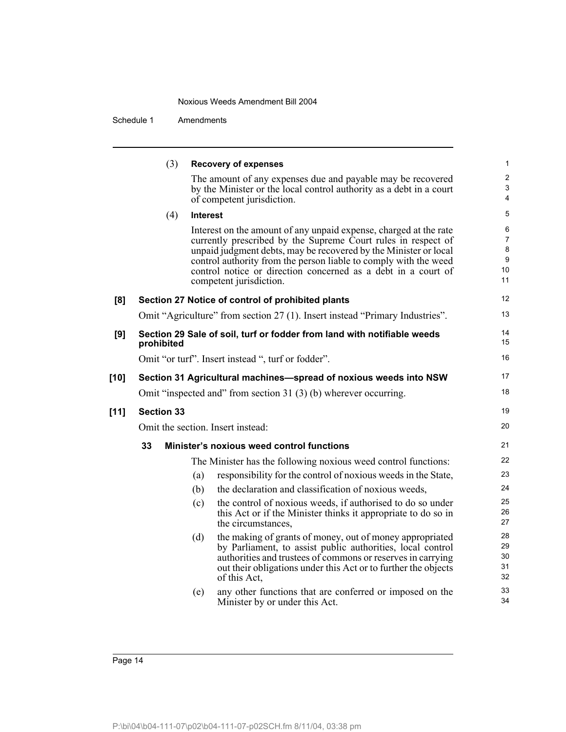|        | (3)               |                 | <b>Recovery of expenses</b>                                                                                                                                                                                                                                                                                                                                            | $\mathbf{1}$                              |
|--------|-------------------|-----------------|------------------------------------------------------------------------------------------------------------------------------------------------------------------------------------------------------------------------------------------------------------------------------------------------------------------------------------------------------------------------|-------------------------------------------|
|        |                   |                 | The amount of any expenses due and payable may be recovered<br>by the Minister or the local control authority as a debt in a court<br>of competent jurisdiction.                                                                                                                                                                                                       | $\overline{c}$<br>3<br>4                  |
|        | (4)               | <b>Interest</b> |                                                                                                                                                                                                                                                                                                                                                                        | 5                                         |
|        |                   |                 | Interest on the amount of any unpaid expense, charged at the rate<br>currently prescribed by the Supreme Court rules in respect of<br>unpaid judgment debts, may be recovered by the Minister or local<br>control authority from the person liable to comply with the weed<br>control notice or direction concerned as a debt in a court of<br>competent jurisdiction. | 6<br>$\overline{7}$<br>8<br>9<br>10<br>11 |
| [8]    |                   |                 | Section 27 Notice of control of prohibited plants                                                                                                                                                                                                                                                                                                                      | 12                                        |
|        |                   |                 | Omit "Agriculture" from section 27 (1). Insert instead "Primary Industries".                                                                                                                                                                                                                                                                                           | 13                                        |
| [9]    | prohibited        |                 | Section 29 Sale of soil, turf or fodder from land with notifiable weeds                                                                                                                                                                                                                                                                                                | 14<br>15                                  |
|        |                   |                 | Omit "or turf". Insert instead ", turf or fodder".                                                                                                                                                                                                                                                                                                                     | 16                                        |
| $[10]$ |                   |                 | Section 31 Agricultural machines-spread of noxious weeds into NSW                                                                                                                                                                                                                                                                                                      | 17                                        |
|        |                   |                 | Omit "inspected and" from section 31 (3) (b) wherever occurring.                                                                                                                                                                                                                                                                                                       | 18                                        |
| $[11]$ | <b>Section 33</b> |                 |                                                                                                                                                                                                                                                                                                                                                                        | 19                                        |
|        |                   |                 | Omit the section. Insert instead:                                                                                                                                                                                                                                                                                                                                      | 20                                        |
|        | 33                |                 | Minister's noxious weed control functions                                                                                                                                                                                                                                                                                                                              | 21                                        |
|        |                   |                 | The Minister has the following noxious weed control functions:                                                                                                                                                                                                                                                                                                         | 22                                        |
|        |                   | (a)             | responsibility for the control of noxious weeds in the State,                                                                                                                                                                                                                                                                                                          | 23                                        |
|        |                   | (b)             | the declaration and classification of noxious weeds,                                                                                                                                                                                                                                                                                                                   | 24                                        |
|        |                   | (c)             | the control of noxious weeds, if authorised to do so under<br>this Act or if the Minister thinks it appropriate to do so in<br>the circumstances,                                                                                                                                                                                                                      | 25<br>26<br>27                            |
|        |                   | (d)             | the making of grants of money, out of money appropriated<br>by Parliament, to assist public authorities, local control<br>authorities and trustees of commons or reserves in carrying<br>out their obligations under this Act or to further the objects<br>of this Act,                                                                                                | 28<br>29<br>30<br>31<br>32                |
|        |                   | (e)             | any other functions that are conferred or imposed on the<br>Minister by or under this Act.                                                                                                                                                                                                                                                                             | 33<br>34                                  |
|        |                   |                 |                                                                                                                                                                                                                                                                                                                                                                        |                                           |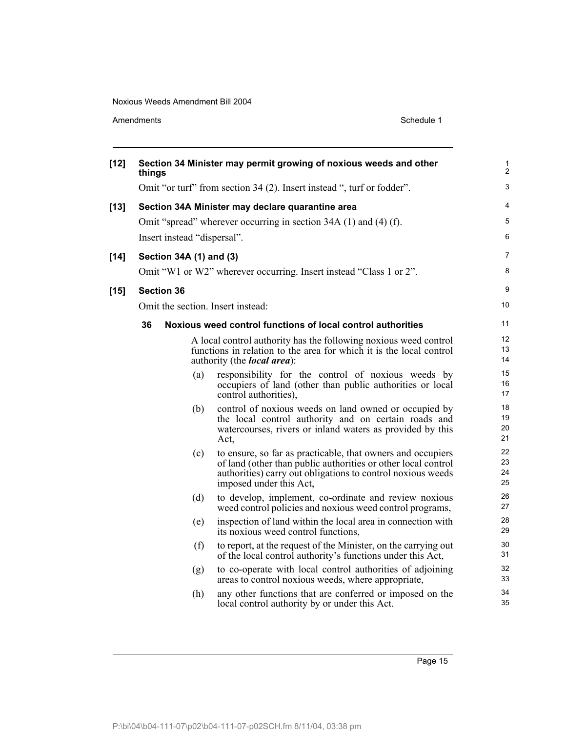| $[12]$ | things                                                           |                   |                         | Section 34 Minister may permit growing of noxious weeds and other                                                                                                                                                      | 1<br>$\overline{c}$  |
|--------|------------------------------------------------------------------|-------------------|-------------------------|------------------------------------------------------------------------------------------------------------------------------------------------------------------------------------------------------------------------|----------------------|
|        |                                                                  |                   |                         | Omit "or turf" from section 34 (2). Insert instead ", turf or fodder".                                                                                                                                                 | 3                    |
| $[13]$ |                                                                  |                   |                         | Section 34A Minister may declare quarantine area                                                                                                                                                                       | 4                    |
|        | Omit "spread" wherever occurring in section 34A (1) and (4) (f). |                   |                         |                                                                                                                                                                                                                        |                      |
|        |                                                                  |                   |                         | Insert instead "dispersal".                                                                                                                                                                                            | 6                    |
| $[14]$ |                                                                  |                   | Section 34A (1) and (3) |                                                                                                                                                                                                                        | 7                    |
|        |                                                                  |                   |                         | Omit "W1 or W2" wherever occurring. Insert instead "Class 1 or 2".                                                                                                                                                     | 8                    |
| $[15]$ |                                                                  | <b>Section 36</b> |                         |                                                                                                                                                                                                                        | 9                    |
|        | Omit the section. Insert instead:                                |                   |                         |                                                                                                                                                                                                                        |                      |
|        | 36                                                               |                   |                         | Noxious weed control functions of local control authorities                                                                                                                                                            | 11                   |
|        |                                                                  |                   |                         | A local control authority has the following noxious weed control<br>functions in relation to the area for which it is the local control<br>authority (the <i>local area</i> ):                                         | 12<br>13<br>14       |
|        |                                                                  |                   | (a)                     | responsibility for the control of noxious weeds by<br>occupiers of land (other than public authorities or local<br>control authorities),                                                                               | 15<br>16<br>17       |
|        |                                                                  |                   | (b)                     | control of noxious weeds on land owned or occupied by<br>the local control authority and on certain roads and<br>watercourses, rivers or inland waters as provided by this<br>Act,                                     | 18<br>19<br>20<br>21 |
|        |                                                                  |                   | (c)                     | to ensure, so far as practicable, that owners and occupiers<br>of land (other than public authorities or other local control<br>authorities) carry out obligations to control noxious weeds<br>imposed under this Act, | 22<br>23<br>24<br>25 |
|        |                                                                  |                   | (d)                     | to develop, implement, co-ordinate and review noxious<br>weed control policies and noxious weed control programs,                                                                                                      | 26<br>27             |
|        |                                                                  |                   | (e)                     | inspection of land within the local area in connection with<br>its noxious weed control functions,                                                                                                                     | 28<br>29             |
|        |                                                                  |                   | (f)                     | to report, at the request of the Minister, on the carrying out<br>of the local control authority's functions under this Act,                                                                                           | 30<br>31             |
|        |                                                                  |                   | (g)                     | to co-operate with local control authorities of adjoining<br>areas to control noxious weeds, where appropriate,                                                                                                        | 32<br>33             |
|        |                                                                  |                   | (h)                     | any other functions that are conferred or imposed on the<br>local control authority by or under this Act.                                                                                                              | 34<br>35             |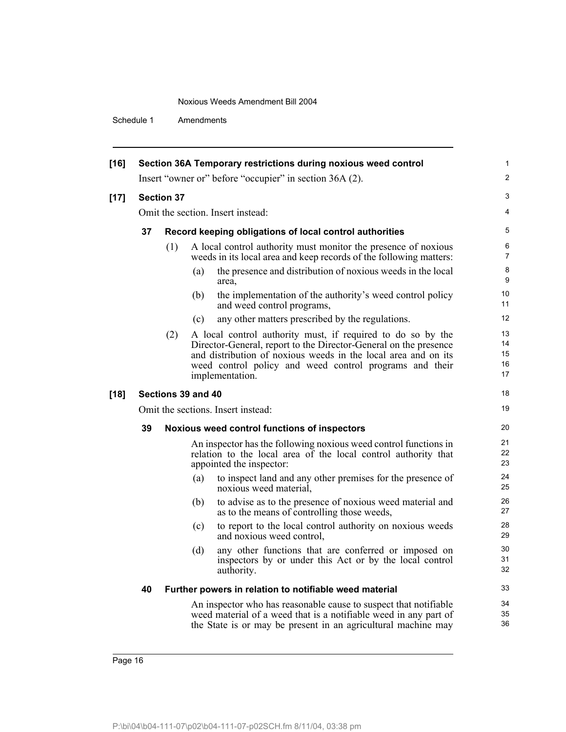| $[16]$ |                                   |                                                         |                    | Section 36A Temporary restrictions during noxious weed control                                                                                                                                                                                                                  | 1                          |
|--------|-----------------------------------|---------------------------------------------------------|--------------------|---------------------------------------------------------------------------------------------------------------------------------------------------------------------------------------------------------------------------------------------------------------------------------|----------------------------|
|        |                                   |                                                         |                    | Insert "owner or" before "occupier" in section 36A (2).                                                                                                                                                                                                                         | $\overline{c}$             |
| $[17]$ |                                   | <b>Section 37</b>                                       |                    |                                                                                                                                                                                                                                                                                 | 3                          |
|        | Omit the section. Insert instead: |                                                         |                    |                                                                                                                                                                                                                                                                                 | 4                          |
|        | 37                                | Record keeping obligations of local control authorities |                    |                                                                                                                                                                                                                                                                                 | 5                          |
|        |                                   | (1)                                                     |                    | A local control authority must monitor the presence of noxious<br>weeds in its local area and keep records of the following matters:                                                                                                                                            | 6<br>7                     |
|        |                                   |                                                         | (a)                | the presence and distribution of noxious weeds in the local<br>area.                                                                                                                                                                                                            | 8<br>9                     |
|        |                                   |                                                         | (b)                | the implementation of the authority's weed control policy<br>and weed control programs,                                                                                                                                                                                         | 10<br>11                   |
|        |                                   |                                                         | (c)                | any other matters prescribed by the regulations.                                                                                                                                                                                                                                | 12                         |
|        |                                   | (2)                                                     |                    | A local control authority must, if required to do so by the<br>Director-General, report to the Director-General on the presence<br>and distribution of noxious weeds in the local area and on its<br>weed control policy and weed control programs and their<br>implementation. | 13<br>14<br>15<br>16<br>17 |
| $[18]$ |                                   |                                                         | Sections 39 and 40 |                                                                                                                                                                                                                                                                                 | 18                         |
|        |                                   |                                                         |                    | Omit the sections. Insert instead:                                                                                                                                                                                                                                              | 19                         |
|        | 39                                |                                                         |                    | <b>Noxious weed control functions of inspectors</b>                                                                                                                                                                                                                             | 20                         |
|        |                                   |                                                         |                    | An inspector has the following noxious weed control functions in<br>relation to the local area of the local control authority that<br>appointed the inspector:                                                                                                                  | 21<br>22<br>23             |
|        |                                   |                                                         | (a)                | to inspect land and any other premises for the presence of<br>noxious weed material,                                                                                                                                                                                            | 24<br>25                   |
|        |                                   |                                                         | (b)                | to advise as to the presence of noxious weed material and<br>as to the means of controlling those weeds,                                                                                                                                                                        | 26<br>27                   |
|        |                                   |                                                         | (c)                | to report to the local control authority on noxious weeds<br>and noxious weed control,                                                                                                                                                                                          | 28<br>29                   |
|        |                                   |                                                         | (d)                | any other functions that are conferred or imposed on<br>inspectors by or under this Act or by the local control<br>authority.                                                                                                                                                   | 30<br>31<br>32             |
|        | 40                                |                                                         |                    | Further powers in relation to notifiable weed material                                                                                                                                                                                                                          | 33                         |
|        |                                   |                                                         |                    | An inspector who has reasonable cause to suspect that notifiable<br>weed material of a weed that is a notifiable weed in any part of<br>the State is or may be present in an agricultural machine may                                                                           | 34<br>35<br>36             |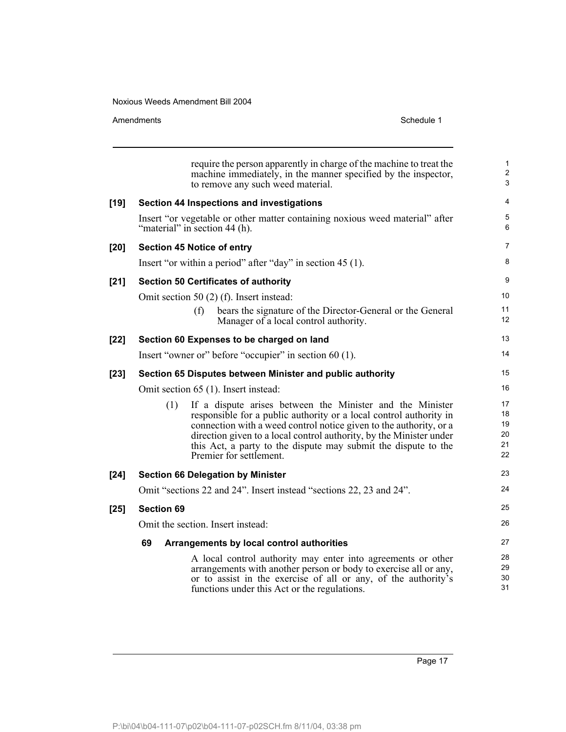|        | Schedule 1<br>Amendments |                                                                                                                                                                                                                                                                                                                                                                           |                                  |
|--------|--------------------------|---------------------------------------------------------------------------------------------------------------------------------------------------------------------------------------------------------------------------------------------------------------------------------------------------------------------------------------------------------------------------|----------------------------------|
|        |                          | require the person apparently in charge of the machine to treat the<br>machine immediately, in the manner specified by the inspector,<br>to remove any such weed material.                                                                                                                                                                                                | 1<br>$\overline{c}$<br>3         |
| $[19]$ |                          | Section 44 Inspections and investigations                                                                                                                                                                                                                                                                                                                                 | $\overline{4}$                   |
|        |                          | Insert "or vegetable or other matter containing noxious weed material" after<br>"material" in section 44 (h).                                                                                                                                                                                                                                                             | 5<br>6                           |
| [20]   |                          | <b>Section 45 Notice of entry</b>                                                                                                                                                                                                                                                                                                                                         | $\overline{7}$                   |
|        |                          | Insert "or within a period" after "day" in section 45 (1).                                                                                                                                                                                                                                                                                                                | 8                                |
| $[21]$ |                          | <b>Section 50 Certificates of authority</b>                                                                                                                                                                                                                                                                                                                               | 9                                |
|        |                          | Omit section 50 (2) (f). Insert instead:                                                                                                                                                                                                                                                                                                                                  | 10                               |
|        |                          | bears the signature of the Director-General or the General<br>(f)<br>Manager of a local control authority.                                                                                                                                                                                                                                                                | 11<br>12                         |
| $[22]$ |                          | Section 60 Expenses to be charged on land                                                                                                                                                                                                                                                                                                                                 | 13                               |
|        |                          | Insert "owner or" before "occupier" in section 60 (1).                                                                                                                                                                                                                                                                                                                    | 14                               |
| $[23]$ |                          | Section 65 Disputes between Minister and public authority                                                                                                                                                                                                                                                                                                                 | 15                               |
|        |                          | Omit section 65 (1). Insert instead:                                                                                                                                                                                                                                                                                                                                      | 16                               |
|        | (1)                      | If a dispute arises between the Minister and the Minister<br>responsible for a public authority or a local control authority in<br>connection with a weed control notice given to the authority, or a<br>direction given to a local control authority, by the Minister under<br>this Act, a party to the dispute may submit the dispute to the<br>Premier for settlement. | 17<br>18<br>19<br>20<br>21<br>22 |
| $[24]$ |                          | <b>Section 66 Delegation by Minister</b>                                                                                                                                                                                                                                                                                                                                  | 23                               |
|        |                          | Omit "sections 22 and 24". Insert instead "sections 22, 23 and 24".                                                                                                                                                                                                                                                                                                       | 24                               |
| $[25]$ | <b>Section 69</b>        |                                                                                                                                                                                                                                                                                                                                                                           | 25                               |
|        |                          | Omit the section. Insert instead:                                                                                                                                                                                                                                                                                                                                         | 26                               |
|        | 69                       | Arrangements by local control authorities                                                                                                                                                                                                                                                                                                                                 | 27                               |
|        |                          | A local control authority may enter into agreements or other<br>arrangements with another person or body to exercise all or any,<br>or to assist in the exercise of all or any, of the authority's<br>functions under this Act or the regulations.                                                                                                                        | 28<br>29<br>30<br>31             |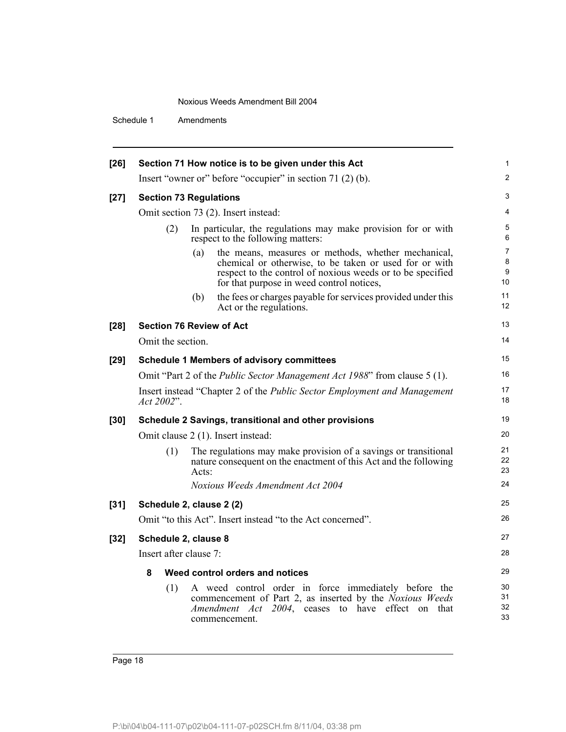| $[26]$ | Section 71 How notice is to be given under this Act                                                                                                                                                                             | 1                    |  |
|--------|---------------------------------------------------------------------------------------------------------------------------------------------------------------------------------------------------------------------------------|----------------------|--|
|        | Insert "owner or" before "occupier" in section 71 (2) (b).                                                                                                                                                                      | $\overline{c}$       |  |
| $[27]$ | <b>Section 73 Regulations</b>                                                                                                                                                                                                   |                      |  |
|        | Omit section 73 (2). Insert instead:                                                                                                                                                                                            | 4                    |  |
|        | In particular, the regulations may make provision for or with<br>(2)<br>respect to the following matters:                                                                                                                       | 5<br>6               |  |
|        | (a)<br>the means, measures or methods, whether mechanical,<br>chemical or otherwise, to be taken or used for or with<br>respect to the control of noxious weeds or to be specified<br>for that purpose in weed control notices, | 7<br>8<br>9<br>10    |  |
|        | the fees or charges payable for services provided under this<br>(b)<br>Act or the regulations.                                                                                                                                  | 11<br>12             |  |
| $[28]$ | <b>Section 76 Review of Act</b>                                                                                                                                                                                                 | 13                   |  |
|        | Omit the section.                                                                                                                                                                                                               | 14                   |  |
| $[29]$ | <b>Schedule 1 Members of advisory committees</b>                                                                                                                                                                                | 15                   |  |
|        | Omit "Part 2 of the <i>Public Sector Management Act 1988</i> " from clause 5 (1).                                                                                                                                               | 16                   |  |
|        | Insert instead "Chapter 2 of the Public Sector Employment and Management<br>Act 2002".                                                                                                                                          | 17<br>18             |  |
| $[30]$ | Schedule 2 Savings, transitional and other provisions                                                                                                                                                                           | 19                   |  |
|        | Omit clause 2 (1). Insert instead:                                                                                                                                                                                              | 20                   |  |
|        | The regulations may make provision of a savings or transitional<br>(1)<br>nature consequent on the enactment of this Act and the following<br>Acts'<br>Noxious Weeds Amendment Act 2004                                         | 21<br>22<br>23<br>24 |  |
| $[31]$ | Schedule 2, clause 2 (2)                                                                                                                                                                                                        | 25                   |  |
|        | Omit "to this Act". Insert instead "to the Act concerned".                                                                                                                                                                      | 26                   |  |
| $[32]$ | Schedule 2, clause 8                                                                                                                                                                                                            | 27                   |  |
|        | Insert after clause 7:                                                                                                                                                                                                          | 28                   |  |
|        | 8<br>Weed control orders and notices                                                                                                                                                                                            | 29                   |  |
|        | (1)<br>A weed control order in force immediately before the<br>commencement of Part 2, as inserted by the Noxious Weeds<br>Amendment Act 2004, ceases to have effect on that<br>commencement.                                   | 30<br>31<br>32<br>33 |  |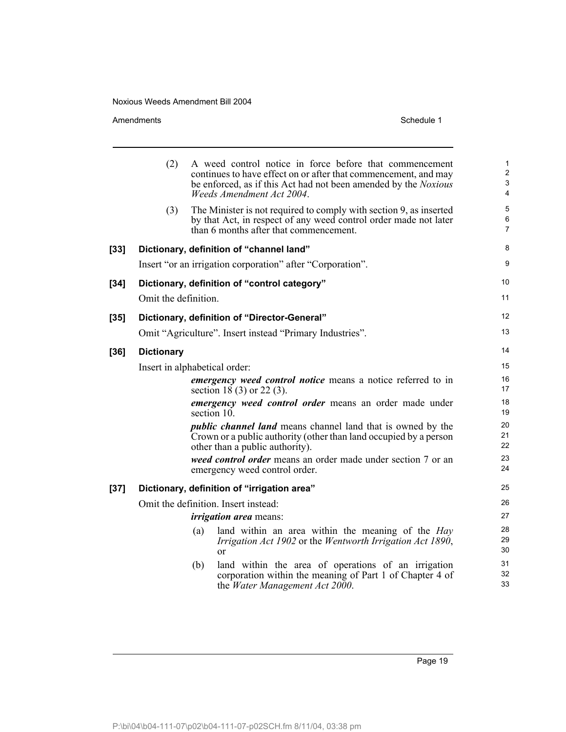Amendments Schedule 1

|        | (2)                  | A weed control notice in force before that commencement<br>continues to have effect on or after that commencement, and may<br>be enforced, as if this Act had not been amended by the <i>Noxious</i><br>Weeds Amendment Act 2004. | 1<br>$\overline{c}$<br>3<br>4 |
|--------|----------------------|-----------------------------------------------------------------------------------------------------------------------------------------------------------------------------------------------------------------------------------|-------------------------------|
|        | (3)                  | The Minister is not required to comply with section 9, as inserted<br>by that Act, in respect of any weed control order made not later<br>than 6 months after that commencement.                                                  | 5<br>6<br>$\overline{7}$      |
| [33]   |                      | Dictionary, definition of "channel land"                                                                                                                                                                                          | 8                             |
|        |                      | Insert "or an irrigation corporation" after "Corporation".                                                                                                                                                                        | 9                             |
| $[34]$ |                      | Dictionary, definition of "control category"                                                                                                                                                                                      | 10                            |
|        | Omit the definition. |                                                                                                                                                                                                                                   | 11                            |
| $[35]$ |                      | Dictionary, definition of "Director-General"                                                                                                                                                                                      | 12                            |
|        |                      | Omit "Agriculture". Insert instead "Primary Industries".                                                                                                                                                                          | 13                            |
| [36]   | <b>Dictionary</b>    |                                                                                                                                                                                                                                   | 14                            |
|        |                      | Insert in alphabetical order:                                                                                                                                                                                                     | 15                            |
|        |                      | <i>emergency weed control notice</i> means a notice referred to in<br>section 18 (3) or 22 (3).                                                                                                                                   | 16<br>17                      |
|        |                      | <i>emergency weed control order</i> means an order made under<br>section $10$ .                                                                                                                                                   | 18<br>19                      |
|        |                      | <i>public channel land</i> means channel land that is owned by the<br>Crown or a public authority (other than land occupied by a person<br>other than a public authority).                                                        | 20<br>21<br>22                |
|        |                      | weed control order means an order made under section 7 or an<br>emergency weed control order.                                                                                                                                     | 23<br>24                      |
| $[37]$ |                      | Dictionary, definition of "irrigation area"                                                                                                                                                                                       | 25                            |
|        |                      | Omit the definition. Insert instead:                                                                                                                                                                                              | 26                            |
|        |                      | <i>irrigation area</i> means:                                                                                                                                                                                                     | 27                            |
|        |                      | land within an area within the meaning of the <i>Hay</i><br>(a)<br>Irrigation Act 1902 or the Wentworth Irrigation Act 1890,<br>or                                                                                                | 28<br>29<br>30                |
|        |                      | land within the area of operations of an irrigation<br>(b)<br>corporation within the meaning of Part 1 of Chapter 4 of<br>the <i>Water Management Act 2000</i> .                                                                  | 31<br>32<br>33                |
|        |                      |                                                                                                                                                                                                                                   |                               |

Page 19